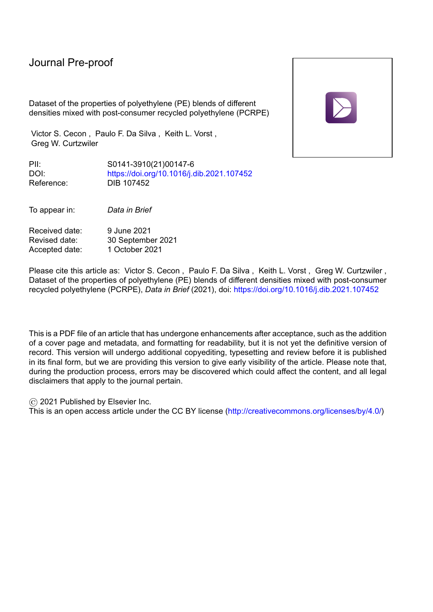Dataset of the properties of polyethylene (PE) blends of different densities mixed with post-consumer recycled polyethylene (PCRPE)

Victor S. Cecon , Paulo F. Da Silva , Keith L. Vorst , Greg W. Curtzwiler

PII: S0141-3910(21)00147-6 DOI: <https://doi.org/10.1016/j.dib.2021.107452> Reference: DIB 107452

To appear in: *Data in Brief*

Received date: 9 June 2021 Revised date: 30 September 2021<br>Accepted date: 1 October 2021 Accepted date:

Please cite this article as: Victor S. Cecon , Paulo F. Da Silva , Keith L. Vorst , Greg W. Curtzwiler , Dataset of the properties of polyethylene (PE) blends of different densities mixed with post-consumer recycled polyethylene (PCRPE), *Data in Brief* (2021), doi: <https://doi.org/10.1016/j.dib.2021.107452>

This is a PDF file of an article that has undergone enhancements after acceptance, such as the addition of a cover page and metadata, and formatting for readability, but it is not yet the definitive version of record. This version will undergo additional copyediting, typesetting and review before it is published in its final form, but we are providing this version to give early visibility of the article. Please note that, during the production process, errors may be discovered which could affect the content, and all legal disclaimers that apply to the journal pertain.

© 2021 Published by Elsevier Inc.

This is an open access article under the CC BY license [\(http://creativecommons.org/licenses/by/4.0/\)](http://creativecommons.org/licenses/by/4.0/)

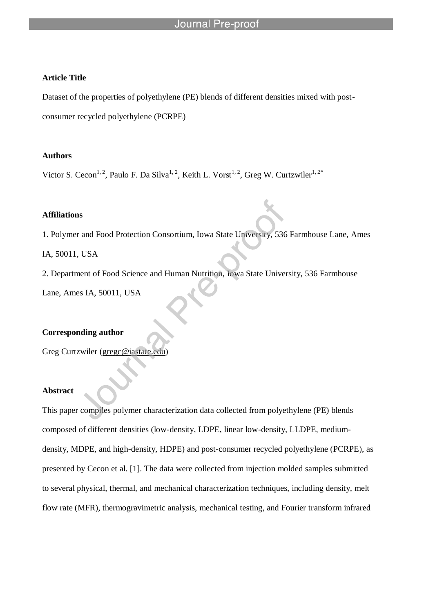#### **Article Title**

Dataset of the properties of polyethylene (PE) blends of different densities mixed with postconsumer recycled polyethylene (PCRPE)

### **Authors**

Victor S. Cecon<sup>1, 2</sup>, Paulo F. Da Silva<sup>1, 2</sup>, Keith L. Vorst<sup>1, 2</sup>, Greg W. Curtzwiler<sup>1, 2\*</sup>

l

#### **Affiliations**

1. Polymer and Food Protection Consortium, Iowa State University, 536 Farmhouse Lane, Ames

IA, 50011, USA

2. Department of Food Science and Human Nutrition, Iowa State University, 536 Farmhouse

Lane, Ames IA, 50011, USA

### **Corresponding author**

Greg Curtzwiler (gregc@iastate.edu)

### **Abstract**

This paper compiles polymer characterization data collected from polyethylene (PE) blends composed of different densities (low-density, LDPE, linear low-density, LLDPE, mediumdensity, MDPE, and high-density, HDPE) and post-consumer recycled polyethylene (PCRPE), as presented by Cecon et al. [1]. The data were collected from injection molded samples submitted to several physical, thermal, and mechanical characterization techniques, including density, melt flow rate (MFR), thermogravimetric analysis, mechanical testing, and Fourier transform infrared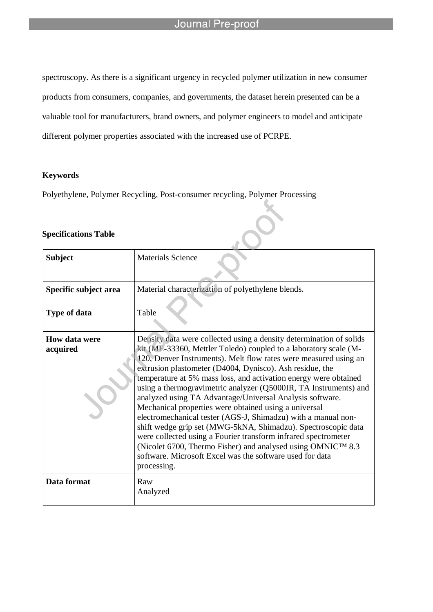spectroscopy. As there is a significant urgency in recycled polymer utilization in new consumer products from consumers, companies, and governments, the dataset herein presented can be a valuable tool for manufacturers, brand owners, and polymer engineers to model and anticipate different polymer properties associated with the increased use of PCRPE.

### **Keywords**

Polyethylene, Polymer Recycling, Post-consumer recycling, Polymer Processing

l

#### **Specifications Table**

| <b>Subject</b>            | <b>Materials Science</b>                                                                                                                                                                                                                                                                                                                                                                                                                                                                                                                                                                                                                                                                                                                                                                                                                                                            |
|---------------------------|-------------------------------------------------------------------------------------------------------------------------------------------------------------------------------------------------------------------------------------------------------------------------------------------------------------------------------------------------------------------------------------------------------------------------------------------------------------------------------------------------------------------------------------------------------------------------------------------------------------------------------------------------------------------------------------------------------------------------------------------------------------------------------------------------------------------------------------------------------------------------------------|
| Specific subject area     | Material characterization of polyethylene blends.                                                                                                                                                                                                                                                                                                                                                                                                                                                                                                                                                                                                                                                                                                                                                                                                                                   |
| <b>Type of data</b>       | Table                                                                                                                                                                                                                                                                                                                                                                                                                                                                                                                                                                                                                                                                                                                                                                                                                                                                               |
| How data were<br>acquired | Density data were collected using a density determination of solids<br>kit (ME-33360, Mettler Toledo) coupled to a laboratory scale (M-<br>120, Denver Instruments). Melt flow rates were measured using an<br>extrusion plastometer (D4004, Dynisco). Ash residue, the<br>temperature at 5% mass loss, and activation energy were obtained<br>using a thermogravimetric analyzer (Q5000IR, TA Instruments) and<br>analyzed using TA Advantage/Universal Analysis software.<br>Mechanical properties were obtained using a universal<br>electromechanical tester (AGS-J, Shimadzu) with a manual non-<br>shift wedge grip set (MWG-5kNA, Shimadzu). Spectroscopic data<br>were collected using a Fourier transform infrared spectrometer<br>(Nicolet 6700, Thermo Fisher) and analysed using OMNICTM 8.3<br>software. Microsoft Excel was the software used for data<br>processing. |
| Data format               | Raw<br>Analyzed                                                                                                                                                                                                                                                                                                                                                                                                                                                                                                                                                                                                                                                                                                                                                                                                                                                                     |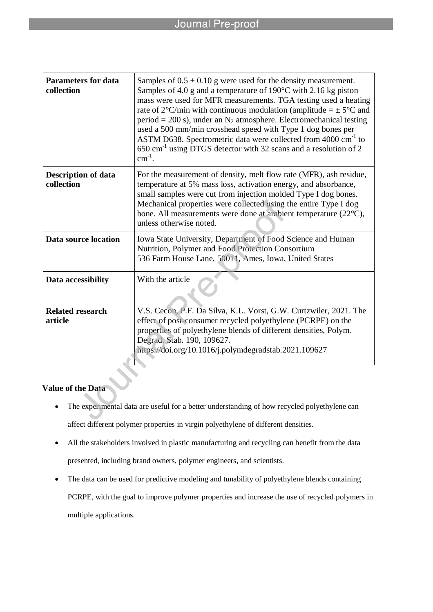| <b>Parameters for data</b><br>collection | Samples of $0.5 \pm 0.10$ g were used for the density measurement.<br>Samples of 4.0 g and a temperature of $190^{\circ}$ C with 2.16 kg piston<br>mass were used for MFR measurements. TGA testing used a heating<br>rate of 2°C/min with continuous modulation (amplitude = $\pm$ 5°C and<br>period = 200 s), under an $N_2$ atmosphere. Electromechanical testing<br>used a 500 mm/min crosshead speed with Type 1 dog bones per<br>ASTM D638. Spectrometric data were collected from 4000 cm <sup>-1</sup> to<br>650 cm <sup>-1</sup> using DTGS detector with 32 scans and a resolution of 2<br>$cm^{-1}$ . |
|------------------------------------------|------------------------------------------------------------------------------------------------------------------------------------------------------------------------------------------------------------------------------------------------------------------------------------------------------------------------------------------------------------------------------------------------------------------------------------------------------------------------------------------------------------------------------------------------------------------------------------------------------------------|
| <b>Description of data</b><br>collection | For the measurement of density, melt flow rate (MFR), ash residue,<br>temperature at 5% mass loss, activation energy, and absorbance,<br>small samples were cut from injection molded Type I dog bones.<br>Mechanical properties were collected using the entire Type I dog<br>bone. All measurements were done at ambient temperature (22°C),<br>unless otherwise noted.                                                                                                                                                                                                                                        |
| Data source location                     | Iowa State University, Department of Food Science and Human<br>Nutrition, Polymer and Food Protection Consortium<br>536 Farm House Lane, 50011, Ames, Iowa, United States                                                                                                                                                                                                                                                                                                                                                                                                                                        |
| Data accessibility                       | With the article                                                                                                                                                                                                                                                                                                                                                                                                                                                                                                                                                                                                 |
| <b>Related research</b><br>article       | V.S. Cecon, P.F. Da Silva, K.L. Vorst, G.W. Curtzwiler, 2021. The<br>effect of post-consumer recycled polyethylene (PCRPE) on the<br>properties of polyethylene blends of different densities, Polym.<br>Degrad, Stab. 190, 109627.<br>https://doi.org/10.1016/j.polymdegradstab.2021.109627                                                                                                                                                                                                                                                                                                                     |

## **Value of the Data**

- The experimental data are useful for a better understanding of how recycled polyethylene can affect different polymer properties in virgin polyethylene of different densities.
- All the stakeholders involved in plastic manufacturing and recycling can benefit from the data presented, including brand owners, polymer engineers, and scientists.
- The data can be used for predictive modeling and tunability of polyethylene blends containing PCRPE, with the goal to improve polymer properties and increase the use of recycled polymers in multiple applications.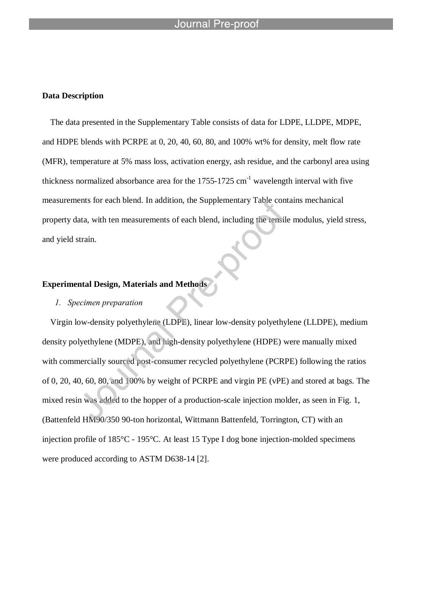#### Journal

l

#### **Data Description**

The data presented in the Supplementary Table consists of data for LDPE, LLDPE, MDPE, and HDPE blends with PCRPE at 0, 20, 40, 60, 80, and 100% wt% for density, melt flow rate (MFR), temperature at 5% mass loss, activation energy, ash residue, and the carbonyl area using thickness normalized absorbance area for the  $1755-1725$  cm<sup>-1</sup> wavelength interval with five measurements for each blend. In addition, the Supplementary Table contains mechanical property data, with ten measurements of each blend, including the tensile modulus, yield stress, and yield strain.

### **Experimental Design, Materials and Methods**

#### *1. Specimen preparation*

Virgin low-density polyethylene (LDPE), linear low-density polyethylene (LLDPE), medium density polyethylene (MDPE), and high-density polyethylene (HDPE) were manually mixed with commercially sourced post-consumer recycled polyethylene (PCRPE) following the ratios of 0, 20, 40, 60, 80, and 100% by weight of PCRPE and virgin PE (vPE) and stored at bags. The mixed resin was added to the hopper of a production-scale injection molder, as seen in Fig. 1, (Battenfeld HM90/350 90-ton horizontal, Wittmann Battenfeld, Torrington, CT) with an injection profile of 185°C - 195°C. At least 15 Type I dog bone injection-molded specimens were produced according to ASTM D638-14 [2].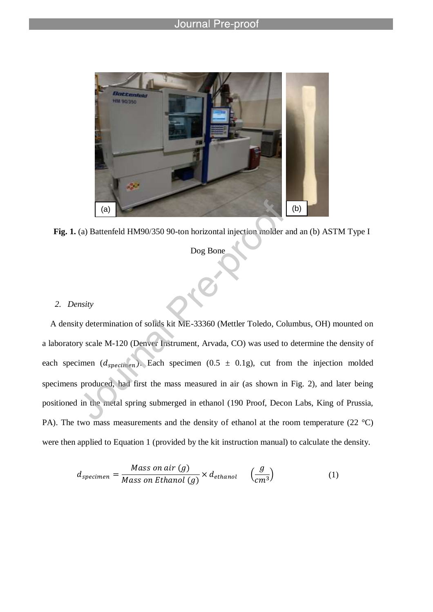

**Fig. 1.** (a) Battenfeld HM90/350 90-ton horizontal injection molder and an (b) ASTM Type I

Dog Bone

#### *2. Density*

A density determination of solids kit ME-33360 (Mettler Toledo, Columbus, OH) mounted on a laboratory scale M-120 (Denver Instrument, Arvada, CO) was used to determine the density of each specimen ( $d_{specimen}$ ). Each specimen (0.5  $\pm$  0.1g), cut from the injection molded specimens produced, had first the mass measured in air (as shown in Fig. 2), and later being positioned in the metal spring submerged in ethanol (190 Proof, Decon Labs, King of Prussia, PA). The two mass measurements and the density of ethanol at the room temperature (22 °C) were then applied to Equation 1 (provided by the kit instruction manual) to calculate the density.

$$
d_{specimen} = \frac{Mass\ on\ air\ (g)}{Mass\ on\ Ethanol\ (g)} \times d_{ethanol} \quad \left(\frac{g}{cm^3}\right) \tag{1}
$$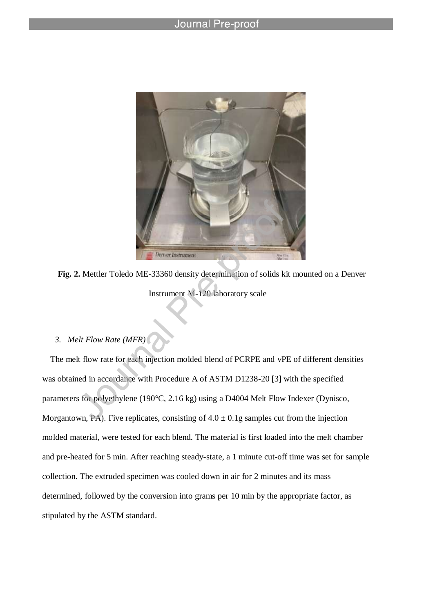l



**Fig. 2.** Mettler Toledo ME-33360 density determination of solids kit mounted on a Denver Instrument M-120 laboratory scale

### *3. Melt Flow Rate (MFR)*

The melt flow rate for each injection molded blend of PCRPE and vPE of different densities was obtained in accordance with Procedure A of ASTM D1238-20 [3] with the specified parameters for polyethylene (190°C, 2.16 kg) using a D4004 Melt Flow Indexer (Dynisco, Morgantown, PA). Five replicates, consisting of  $4.0 \pm 0.1$ g samples cut from the injection molded material, were tested for each blend. The material is first loaded into the melt chamber and pre-heated for 5 min. After reaching steady-state, a 1 minute cut-off time was set for sample collection. The extruded specimen was cooled down in air for 2 minutes and its mass determined, followed by the conversion into grams per 10 min by the appropriate factor, as stipulated by the ASTM standard.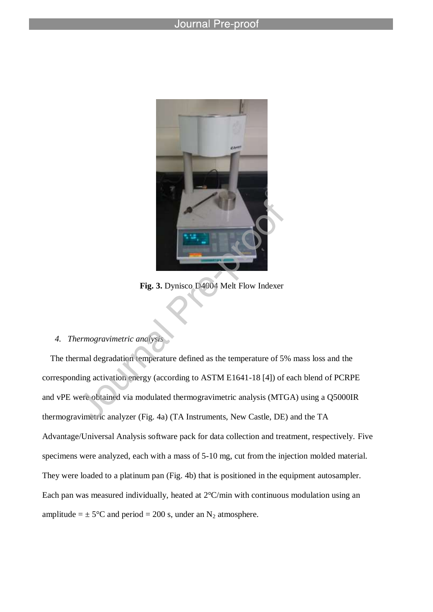l



**Fig. 3.** Dynisco D4004 Melt Flow Indexer

### *4. Thermogravimetric analysis*

The thermal degradation temperature defined as the temperature of 5% mass loss and the corresponding activation energy (according to ASTM E1641-18 [4]) of each blend of PCRPE and vPE were obtained via modulated thermogravimetric analysis (MTGA) using a Q5000IR thermogravimetric analyzer (Fig. 4a) (TA Instruments, New Castle, DE) and the TA Advantage/Universal Analysis software pack for data collection and treatment, respectively. Five specimens were analyzed, each with a mass of 5-10 mg, cut from the injection molded material. They were loaded to a platinum pan (Fig. 4b) that is positioned in the equipment autosampler. Each pan was measured individually, heated at 2°C/min with continuous modulation using an amplitude =  $\pm$  5°C and period = 200 s, under an N<sub>2</sub> atmosphere.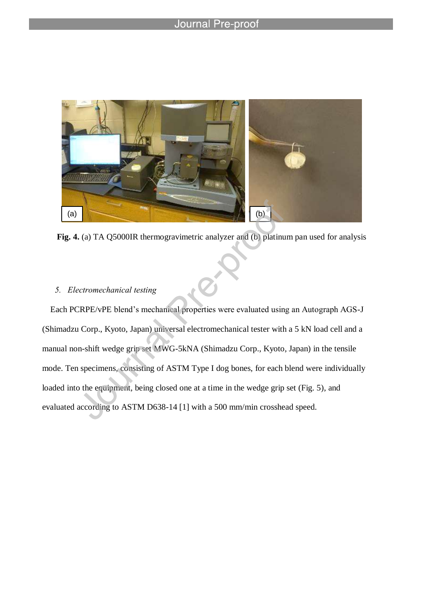

**Fig. 4.** (a) TA Q5000IR thermogravimetric analyzer and (b) platinum pan used for analysis

### *5. Electromechanical testing*

Each PCRPE/vPE blend's mechanical properties were evaluated using an Autograph AGS-J (Shimadzu Corp., Kyoto, Japan) universal electromechanical tester with a 5 kN load cell and a manual non-shift wedge grip set MWG-5kNA (Shimadzu Corp., Kyoto, Japan) in the tensile mode. Ten specimens, consisting of ASTM Type I dog bones, for each blend were individually loaded into the equipment, being closed one at a time in the wedge grip set (Fig. 5), and evaluated according to ASTM D638-14 [1] with a 500 mm/min crosshead speed.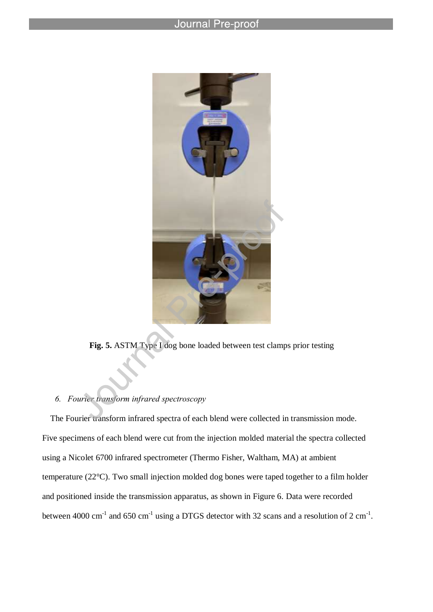l



**Fig. 5.** ASTM Type I dog bone loaded between test clamps prior testing

### *6. Fourier transform infrared spectroscopy*

The Fourier transform infrared spectra of each blend were collected in transmission mode. Five specimens of each blend were cut from the injection molded material the spectra collected using a Nicolet 6700 infrared spectrometer (Thermo Fisher, Waltham, MA) at ambient temperature (22°C). Two small injection molded dog bones were taped together to a film holder and positioned inside the transmission apparatus, as shown in Figure 6. Data were recorded between 4000 cm<sup>-1</sup> and 650 cm<sup>-1</sup> using a DTGS detector with 32 scans and a resolution of 2 cm<sup>-1</sup>.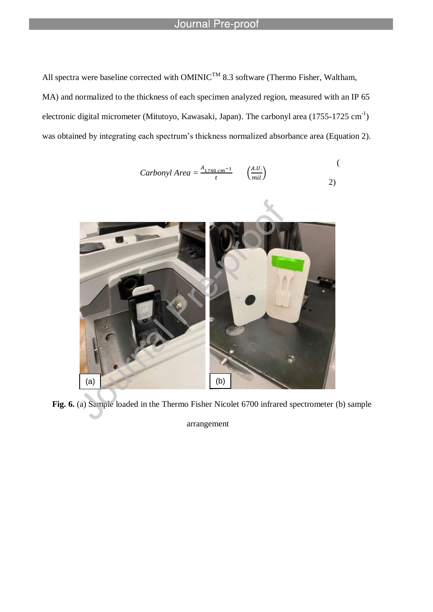l

All spectra were baseline corrected with  $OMINIC^{TM}$  8.3 software (Thermo Fisher, Waltham, MA) and normalized to the thickness of each specimen analyzed region, measured with an IP 65 electronic digital micrometer (Mitutoyo, Kawasaki, Japan). The carbonyl area  $(1755-1725 \text{ cm}^{-1})$ was obtained by integrating each spectrum's thickness normalized absorbance area (Equation 2).

$$
Carbonyl Area = \frac{A_{1740 \, cm^{-1}}}{t} \qquad \left(\frac{A.U.}{mil}\right) \tag{2}
$$



**Fig. 6.** (a) Sample loaded in the Thermo Fisher Nicolet 6700 infrared spectrometer (b) sample

arrangement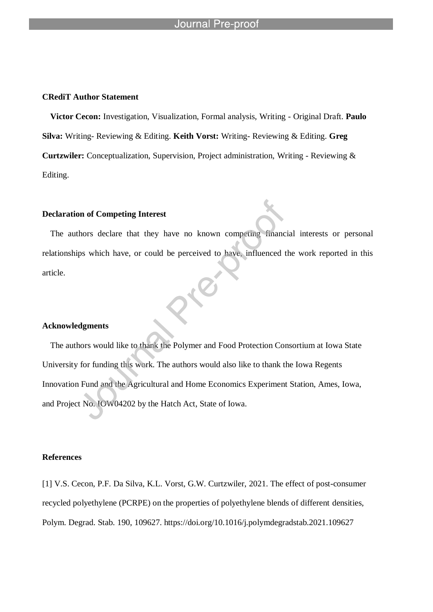#### **CRediT Author Statement**

**Victor Cecon:** Investigation, Visualization, Formal analysis, Writing - Original Draft. **Paulo Silva:** Writing- Reviewing & Editing. **Keith Vorst:** Writing- Reviewing & Editing. **Greg Curtzwiler:** Conceptualization, Supervision, Project administration, Writing - Reviewing & Editing.

#### **Declaration of Competing Interest**

The authors declare that they have no known competing financial interests or personal relationships which have, or could be perceived to have, influenced the work reported in this article.

#### **Acknowledgments**

The authors would like to thank the Polymer and Food Protection Consortium at Iowa State University for funding this work. The authors would also like to thank the Iowa Regents Innovation Fund and the Agricultural and Home Economics Experiment Station, Ames, Iowa, and Project No. IOW04202 by the Hatch Act, State of Iowa.

#### **References**

[1] V.S. Cecon, P.F. Da Silva, K.L. Vorst, G.W. Curtzwiler, 2021. The effect of post-consumer recycled polyethylene (PCRPE) on the properties of polyethylene blends of different densities, Polym. Degrad. Stab. 190, 109627. https://doi.org/10.1016/j.polymdegradstab.2021.109627